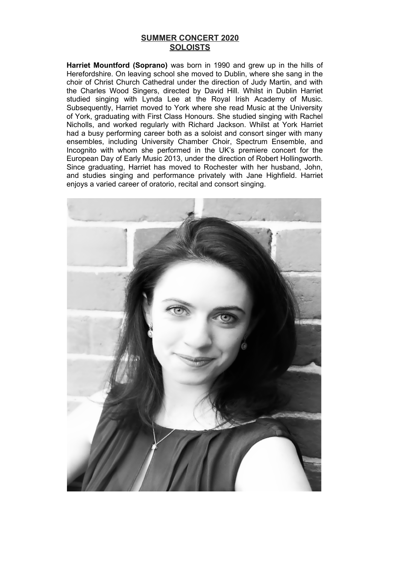## **SUMMER CONCERT 2020 SOLOISTS**

**Harriet Mountford (Soprano)** was born in 1990 and grew up in the hills of Herefordshire. On leaving school she moved to Dublin, where she sang in the choir of Christ Church Cathedral under the direction of Judy Martin, and with the Charles Wood Singers, directed by David Hill. Whilst in Dublin Harriet studied singing with Lynda Lee at the Royal Irish Academy of Music. Subsequently, Harriet moved to York where she read Music at the University of York, graduating with First Class Honours. She studied singing with Rachel Nicholls, and worked regularly with Richard Jackson. Whilst at York Harriet had a busy performing career both as a soloist and consort singer with many ensembles, including University Chamber Choir, Spectrum Ensemble, and Incognito with whom she performed in the UK's premiere concert for the European Day of Early Music 2013, under the direction of Robert Hollingworth. Since graduating, Harriet has moved to Rochester with her husband, John, and studies singing and performance privately with Jane Highfield. Harriet enjoys a varied career of oratorio, recital and consort singing.

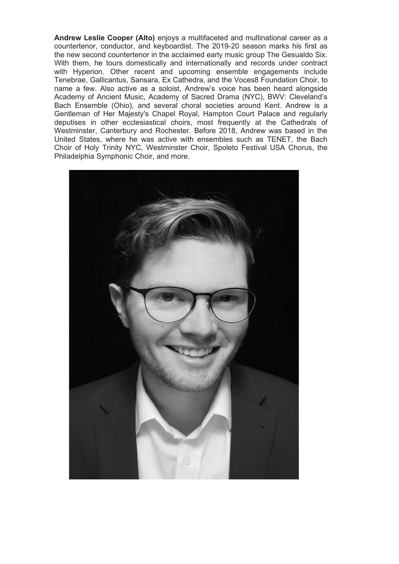**Andrew Leslie Cooper (Alto)** enjoys a multifaceted and multinational career as a countertenor, conductor, and keyboardist. The 2019-20 season marks his first as the new second countertenor in the acclaimed early music group The Gesualdo Six. With them, he tours domestically and internationally and records under contract with Hyperion. Other recent and upcoming ensemble engagements include Tenebrae, Gallicantus, Sansara, Ex Cathedra, and the Voces8 Foundation Choir, to name a few. Also active as a soloist, Andrew's voice has been heard alongside Academy of Ancient Music, Academy of Sacred Drama (NYC), BWV: Cleveland's Bach Ensemble (Ohio), and several choral societies around Kent. Andrew is a Gentleman of Her Majesty's Chapel Royal, Hampton Court Palace and regularly deputises in other ecclesiastical choirs, most frequently at the Cathedrals of Westminster, Canterbury and Rochester. Before 2018, Andrew was based in the United States, where he was active with ensembles such as TENET, the Bach Choir of Holy Trinity NYC, Westminster Choir, Spoleto Festival USA Chorus, the Philadelphia Symphonic Choir, and more.

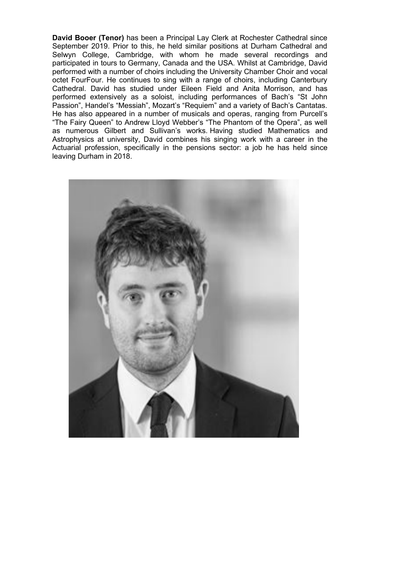**David Booer (Tenor)** has been a Principal Lay Clerk at Rochester Cathedral since September 2019. Prior to this, he held similar positions at Durham Cathedral and Selwyn College, Cambridge, with whom he made several recordings and participated in tours to Germany, Canada and the USA. Whilst at Cambridge, David performed with a number of choirs including the University Chamber Choir and vocal octet FourFour. He continues to sing with a range of choirs, including Canterbury Cathedral. David has studied under Eileen Field and Anita Morrison, and has performed extensively as a soloist, including performances of Bach's "St John Passion", Handel's "Messiah", Mozart's "Requiem" and a variety of Bach's Cantatas. He has also appeared in a number of musicals and operas, ranging from Purcell's "The Fairy Queen" to Andrew Lloyd Webber's "The Phantom of the Opera", as well as numerous Gilbert and Sullivan's works. Having studied Mathematics and Astrophysics at university, David combines his singing work with a career in the Actuarial profession, specifically in the pensions sector: a job he has held since leaving Durham in 2018.